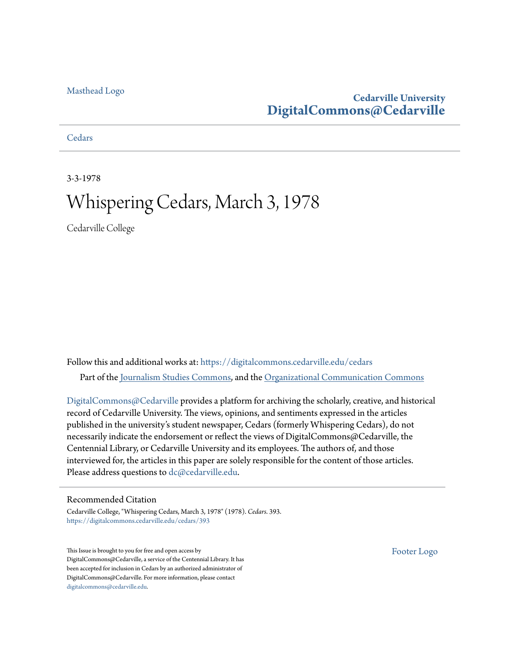#### [Masthead Logo](http://www.cedarville.edu/?utm_source=digitalcommons.cedarville.edu%2Fcedars%2F393&utm_medium=PDF&utm_campaign=PDFCoverPages)

### **Cedarville University [DigitalCommons@Cedarville](https://digitalcommons.cedarville.edu?utm_source=digitalcommons.cedarville.edu%2Fcedars%2F393&utm_medium=PDF&utm_campaign=PDFCoverPages)**

**[Cedars](https://digitalcommons.cedarville.edu/cedars?utm_source=digitalcommons.cedarville.edu%2Fcedars%2F393&utm_medium=PDF&utm_campaign=PDFCoverPages)** 

3-3-1978

### Whispering Cedars, March 3, 1978

Cedarville College

Follow this and additional works at: [https://digitalcommons.cedarville.edu/cedars](https://digitalcommons.cedarville.edu/cedars?utm_source=digitalcommons.cedarville.edu%2Fcedars%2F393&utm_medium=PDF&utm_campaign=PDFCoverPages) Part of the [Journalism Studies Commons](http://network.bepress.com/hgg/discipline/333?utm_source=digitalcommons.cedarville.edu%2Fcedars%2F393&utm_medium=PDF&utm_campaign=PDFCoverPages), and the [Organizational Communication Commons](http://network.bepress.com/hgg/discipline/335?utm_source=digitalcommons.cedarville.edu%2Fcedars%2F393&utm_medium=PDF&utm_campaign=PDFCoverPages)

[DigitalCommons@Cedarville](http://digitalcommons.cedarville.edu/) provides a platform for archiving the scholarly, creative, and historical record of Cedarville University. The views, opinions, and sentiments expressed in the articles published in the university's student newspaper, Cedars (formerly Whispering Cedars), do not necessarily indicate the endorsement or reflect the views of DigitalCommons@Cedarville, the Centennial Library, or Cedarville University and its employees. The authors of, and those interviewed for, the articles in this paper are solely responsible for the content of those articles. Please address questions to [dc@cedarville.edu.](mailto:dc@cedarville.edu)

#### Recommended Citation

Cedarville College, "Whispering Cedars, March 3, 1978" (1978). *Cedars*. 393. [https://digitalcommons.cedarville.edu/cedars/393](https://digitalcommons.cedarville.edu/cedars/393?utm_source=digitalcommons.cedarville.edu%2Fcedars%2F393&utm_medium=PDF&utm_campaign=PDFCoverPages)

This Issue is brought to you for free and open access by DigitalCommons@Cedarville, a service of the Centennial Library. It has been accepted for inclusion in Cedars by an authorized administrator of DigitalCommons@Cedarville. For more information, please contact [digitalcommons@cedarville.edu](mailto:digitalcommons@cedarville.edu).

[Footer Logo](http://www.cedarville.edu/Academics/Library.aspx?utm_source=digitalcommons.cedarville.edu%2Fcedars%2F393&utm_medium=PDF&utm_campaign=PDFCoverPages)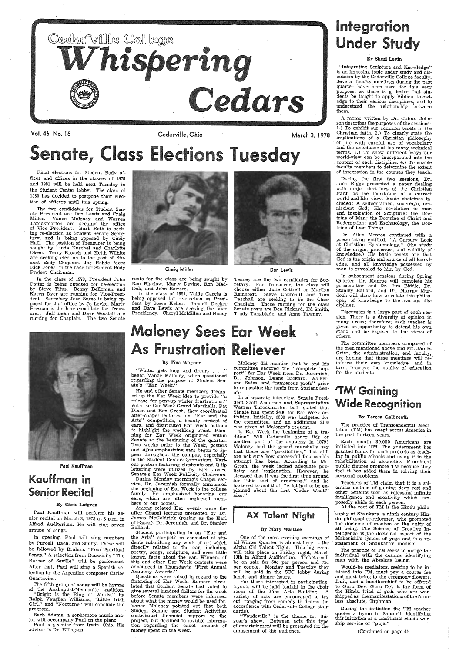

Vol. 46, No. 16

Final elections for Student Body offices and offices in the classes of 1979 and 1981 will be held next Tuesday in the Student Center lobby. The class of 1980 has decided to postpone their election of officers until this spring.

The two candidates for Student Senate President are Don Lewis and Craig Miller. Vance Maloney and Warren Throckmorton are seeking the office of Vice President. Barb Roth is seeking re-election as Student Senate Secretary, and is being opposed by Cindy Hall. The position of Treasurer is being sought by Linda Kuschel and Charlotte Olsen. Terry Broach and Keith Wilhite are seeking election to the post of Student Body Chaplain. Joe Rohde faces Rick Jones in the race for Student Body Project Chairman.

In the class of 1979, President John Potter is being opposed for re-election by Steve Titus. Benny Belleman and Karen Dyer are running for Vice-President. Secretary Joan Surso is being op-<br>posed for that office by Jo Leeke. Marty<br>Pressau is the lone candidate for Treasurer. Jeff Bean and Dave Woodall are running for Chaplain. The two Senate



Barb Adams, a sophomore music major will accompany Paul on the piano.

Paul Kauffman

### Kauffman in Senior Recital

#### By Chris Lofgren

Paul Kauffman will perform his senior recital on March 3, 1978 at 8 p.m. in Alford Auditorium. He will sing seven groups of songs.

## Integration **Under Study**

In opening, Paul will sing numbers by Purcell, Bach, and Shulty. These will be followed by Brahms "Four Spiritual Songs." A selection from Roussini's "The Barber of Seville" will be performed. After that, Paul will sing a Spanish selection by the Argentine composer Carlos Guastavino.

"Integrating Scripture and Knowledge"<br>is an imposing topic under study and dis-<br>cussion by the Cedarville College faculty.<br>Several faculty meetings during the past quarter have been used for this very purpose, as there is a desire that students be taught to apply Biblical knowledge to their various disciplines, and to understand the relationship between them.

The fifth group of songs will be hymns of the Anabaptist-Mennonite tradition.

"Bright is the Ring of Words,"· by Ralph Vaughan Williams, "Little Irish Girl," and "Nocturne" will conclude the program.

Paul is a senior from Irwin, Ohio. His advisor is Dr. Ellington.

Cedarville, Ohio

During the first two sessions, Dr.<br>Jack Riggs presented a paper dealing with major doctrines of the Christian Faith as the foundation of a correct world-and-life view. Basic doctrines included: A selfcontained, sovereign, om-<br>niscient God; His revelation to man and inspiration of Scripture; the Doc trine of Man; the Doctrine of Christ and Redemption; and Eschatology, the Doctrine of Last Things.

Dr. Allen Monroe continued with a presentation entitled, "A Cursory Look at Christian Epistemology,'' (the study<br>of the origin, processes, and validity of<br>knowledge.) His basic tenets are that God is the origin and source of all knowledge, and all knowledge possessed by man is revealed to him by God.<br>In subsequent sessions during Spring

Craig Miller

seats for the class are being sought by Ron Bigelow, Marty Devine, Ron Medlock, and John Bowers.

In the class of 1981, Valde Garcia is being opposed for re-election as President by Steve Keller. Jannell Decker and Dave Lewis are seeking\_ the Vice Presidency. Cheryl McMillan and Nancy



Quarter, Dr. Monroe will complete his presentation and Dr. Jim Biddle, Dr. doch will show how to relate this philosophy of knowledge to the various disciplines.

March 3, 1978

# Senate, Class Elections Tuesday

Don lewis

Tenney are the two candidates for Secretary. For Treasurer, the class will choose either Julie Cottrell or Marilyn Reinholdt. Steve Churchill and Tom Paschall are seeking to be the Class Chaplain. Those running for the class Senate posts are Don Rickard, Ed Smith, Trudy Tangblade, and Anne Tawney.

> inforce their own knowledge, and in turn, improve the quality of education for the students.

**Maloney Sees Ear Week** As Frustration Reliever The committee members composed of the men mentioned above and Mr. James Grier, the administration, and faculty, By Tina Wagner

''Winter gets long and dreary . . .''<br>began Vance Maloney, when questioned regarding the purpose of Student Senate's "Ear Week."

 He and other Senate members dreamed up the Ear Week idea to provide "a release for pent-up winter frustrations." With the Ear Week Grand Marshalls, Pat Dixon and Ron Grosh, they coordinated after-chapel lectures, an "Ear and the Arts" competition, a beauty contest of ears, and distributed Ear Week buttons to highlight the weeklong event. Planning for Ear Week originated within Senate at the beginning of the quarter.<br>Two weeks prior to the Week, posters and signs emphasizing ears began to appear throughout the campus, especially<br>in the Student Center-Gymnasium. Vari-<br>ous posters featuring elephants and Q-tip lettering were utilized by Rick Jones,

#### By Sheri Levin

Senate's Ear Week Publicity Chairman. During Monday morning's Chapel service, Dr. Jeremiah formally announced vice, Dr. Jeremiah formally announced the beginning of Ear Week to the college family. He emphasized honoring our ears, which are often neglected mem-<br>bers of our bodies.

 Student participation in an "Ear and the Arts" competition consisted of students submitting any work of art which directly related to the ear, including poetry, songs, sculpture, and even little known facts about the ear. Winners of this and other Ear Week contests were announced in Thursday's "First Annual Anatomy Awards."<br>Questions were raised in regard to the

A memo written by Dr. Cliford Johnson describes the purposes of the sessions: 1.) To exhibit our common tenets in the Christian faith. 2.) To clearly state the Christian faith .. 2.) To clearly state the implications of a Christian philosophy of life with careful use of vocabulary and the avoidance of too many technical terms. 3.) To show different ways our world-view can be incorporated into the content of each discipline. 4.) To enable faculty members to determine the extent of integration in the courses they teach.

financing of Ear Week. Rumors circulated that Student Senate had voted to give several hundred dollars for the week before Senate members were informed about what the money would be used for. Vance Maloney pointed out that both Student Senate and Student Activities contributed financial support to the project, but declined to divulge information regarding the exact amount of money spent on the week.

Maloney did mention that he and his committee secured the "complete support" for Ear Week from Dr. Jeremiah, Dr. Johnson, Deans Rickard, Walker, and Bates, and "numerous profs" prior to requesting the funds from Student Senate.

Is Ear Week the beginning of a tradition? Will Cedarville honor this or another part of the anatomy in 1979? Maloney and the grand marshalls say that there are "possibilities," but still are not sure how successful this week's attempt has been. According to Mr. Grosh, the week lacked adequate pub-<br>licity and explanation. However, he stressed that it was the first time around for "this sort of craziness," and he hastened to add that, "A lot had to be explained about the first 'Cedar What?' also."

Discussion is a large part of each session. There is a diversity of opinion in many areas; therefore, each teacher is given an opportunity to defend his own stand and be exposed to the views of others.

sophy of Shankara, a ninth century Hin-<br>du philosopher-reformer, who promoted<br>the doctrine of monism or the unity of<br>all being. The Science of Creative Intelligence is , the doctrinal aspect of the Maharishi's system of yoga and is a restatement of Shankara's monism.

Would-be mediators, seeking to be in-<br>itiated into TM, must pay a course fee<br>and must bring to the ceremony flowers, fruit, and a handkerchief to be offered to Guru Dev. Guru Dev is the form of the Hindu triad of gods who are wor- shipped as the manifestations of the formless absolute, Brahman.

During the initiation the TM teacher<br>quotes a hymn in Sanscrit, identifying this initiation as a traditional Hindu worship service or "puja."

 Among related Ear events were the after Chapel lectures presented by Dr. James McGoldrick (posing as the Earl of Essex), Dr. Jeremiah, and Dr. Stanley Ballard.

 In a separate interview, Senate President Scott Anderson and Representative Warren Throckmorton both stated that Warren Throckmorton both stated that Senate had spent \$400 for Ear Week activities. Initially, \$300 was budgeted for the committee, and an additional \$100

### 'TM' Gaining Wide Recognition

#### By Teresa Galbreath

The practice of Transcendental Meditation (TM) has swept across America in the past thirteen years.

Each month 30,000 Americans are initiated into TM. The government has granted funds for such projects as teach- ing in public schools and using it in the rehabilitation of alcoholics. Prominent public figures promote TM because they feel it has aided them in solving their personal problems.

Teachers of TM claim that it is a scientific method of gaining deep rest and other benefits such as releasing infinite intelligence and creativity which sup- posedly abide in each person.

### AX Talent Night

#### By Mary Wallace

One of the most exciting evenings of all Winter Quarter is almost here - the Alpha Chi Talent Night. This big event will take place on Friday night, March 10th in Alford Auditorium. Tickets will be on sale for 50c per person and 75c per couple. Monday and Tuesday they will be sold in the SCG lobby during lunch and dinner hours.

At the root of TM is the Hindu philo-

For those interested in participating, tryouts will be held tonight in the choir variety of acts are encouraged to try out, ranging from comedy to drama (in accordance with Cedarville College stan- dards).

"Vaudeville" is the theme for this year's show. Between acts this type of entertainment will be presented for the amusement of the audience.

The practice of TM seeks to merge the individual with the cosmos, identifying man with the Absolute Being.

(Continued on page 4)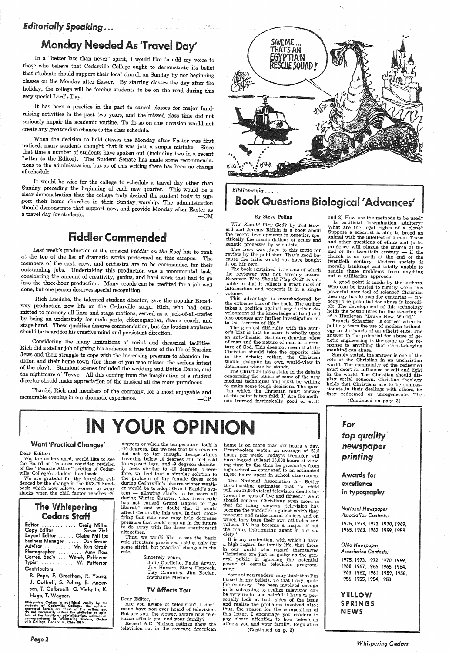### *Editorially Speaking...*

### Monday Needed As 'Travel Day'

In a "better late than never" spirit, I would like to add my voice to those who believe that Cedarville College ought to demonstrate its belief that students should support their local church on Sunday by not beginning classes on the Monday after Easter. By starting classes the day after the holiday, the college will be forcing students to be on the road during this very special Lord's Day.

It has been a practice in the past to cancel classes for major fundraising activities in the past two years, and the missed class time did not seriously impair the academic routine. To do so on this occasion would not create any greater disturbance to the class schedule.

When the decision to hold classes the Monday after Easter was first noticed, many students thought that it was just a simple mistake. Since that time a number of students have spoken out (including two in a recent Letter t tions to the administration, but as of this writing there has been no change of schedule.

It would be wise for the college to schedule a travel day other than<br>Sunday preceding the beginning of each new quarter. This would be a<br>clear demonstration that the college truly desired the student body to sup-<br>port thei should demonstrate that support now, and provide Monday after Easter as a travel day for students.  $\qquad \qquad -CM$ 

Considering the many limitations of script and theatrical facilities, Rich did a stellar job of giving his audience a true taste of the life of Russian Jews and their struggle to cope with the increasing pressure to abandon tra dition and their home town (for those of you who missed the serious intent of the play). Standout scenes included the wedding and Bottle Dance, and the nightmare of Tevye. All this coming from the imagination of a *student* director should make appreciation of the musical all the more prominent.

### Fiddler Commended

Last week's production of the musical *Fiddler on the Roof* has to rank at the top of the list of dramatic works performed on this campus. The members of the cast, crew, and orchestra are to be commended for their outstanding jobs. Undertaking this production was a monumental task, considering the amount of creativity, genius, and hard work that had to go into the three-hour production. Many people can be credited for a job well done, but one person deserves special recognition.

### The Whispering **Cedars Staff**

| Editor  Craig Miller           |  |
|--------------------------------|--|
| Copy Editor  Suzan Zink        |  |
| Layout Editor  Claire Phillips |  |
| Business Manager  Dan Green    |  |
| Advisor  Mr. Ron Grosh         |  |
| Photographer  Amy Ross         |  |
| Corres. Sec'y  Wendy Patterson |  |
| Typist  W. Patterson           |  |
| Contributors:                  |  |

Rich Luedeke, the talented student director, gave the popular Broadway production new life on the Cedarville stage. Rich, who had comby being an understudy for male parts, choreographer, drama coach, and stage hand. These qualities deserve commendation, but the loudest applause . should be heard for his creative mind and persistent direction.

> Julie Ouellette, Paula Arvay,<br>Jan Hansen, Steve Hancock, Ray Commins, Jim Bocian, Stephanie Mesner

Thank£, Rich and members of the company, for a most enjoyable and memorable evening in our dramatic experience. -CP

### Want 'Practiced Changes'

Dear Editor:

We, the undersigned, would like to see the Board of Trustees consider revision of the "Female Attire" section of Cedarville College's student handbook.

We are grateful for the foresight evi- denced by the change in the, 1978-79 handbook which now allows women to wear slacks when the chill factor reaches -20 home is on more than six hours a day.<br>Preschoolers watch an average of 23.5 hours per week. Today's teenager will have logged at least 15,000 hours of viewing time by the time he graduates from high school  $-$  compared to an estimated 12,000 hours spent in school classrooms.

The National Association for Better Broadcasting estimates that "a child will see 13,000 violent television deaths between the ages of five and fifteen." What should concern Christians even more is that for many viewers, television has become the yardstick against which they measure and make moral choices and on which they base their own attitudes and<br>values. TV has become a major, if not the main, legitimizing agent in our so-<br>ciety."

R. Pope, F. Greetham, R. Young, J. Cottrell, S. Poling, B. Anderson, T. Galbreath, C. Vielguth, K. Haga, T. Wagner.

Whispering Cedars is published weekly by the<br>students of Cedarville College. The opinions<br>expressed herein are those of the writers and<br>do not necessarily reflect the attitudes or opin-<br>loo not necessarily reflect the atti

It is my contention, with which I have<br>a high regard for family life, that those a head in our world who regard themselves Christians are just as guilty as the general public in ignoring the potential power of certain television program- ming.

Some of you readers may think that I'm<br>biased in my beliefs. To that I say, quite<br>the contrary. I've been involved enough<br>in broadcasting to realize television can<br>be very useful and helpful. I have to per-<br>sonally look at thus, the reason for the composition of this letter. I encourage you readers to pay closer attention to how television affects you and your family. Regulation

and 2) How are the methods to be used'? Is artificial insemination adultery? What are the legal rights of a clone? Suppose a scientist is able to breed an animal with the intellect of a man. These<br>and other questions of ethics and jurisprudence will plague the church at the end of the twentieth century  $\frac{1}{\sqrt{2}}$  if the church is on earth at the end of the twentieth century. Modern society is morally bankrupt and totally unable to<br>handle these problems from anything<br>but a utilitarian approach.<br>A good point is made by the authors.

Who can be trusted to rightly wield this powerful new tool of science? Christian theology has known for centuries - nobody! The potential for abuse is incredi-<br>ble. The development of this technology holds the possibilities for the ushering in of a Huxleyan "Brave New World."

degrees or when the temperature itself is . -10 degrees. But we feel that this revision did not go far enough. Temperatures hovering below 10 degrees still feel cold Iy feels similar to -10 degrees. There-<br>fore, we feel that a simpler solution to<br>the problem of the female dress code during Cedarville's bizarre winter weather would be to adopt Grand Rapid's system - allowing slacks to be worn all during Winter Quarter. This dress code<br>has not caused Grand Rapids to "go has not cause in that it would affect Cedarville this way. In fact, modi- fying this rule now may help decrease pressure that could crop up in the future to do away with the dress requirement altogether. Thus, we would like to see the basic rule structure preserved asking only for some slight, but practical changes in the rule.

Simply stated, the answer is one of the role of the Christian in an unchristian world. The community of the redeemed must exert its influence as salt and light in the world. The Christian should display social concern. Christian theology holds that Christians are to be compassionate .in their dealings with others, be they redeemed or unregenerate. The

### for *t~p quality·*  newspaper printing

# IN YOUR OPINIC

Sincerely yours,

YELLOW SPRINGS **NEWS** 

### TV Affects You

Dear Editor,

Are you aware of television? I don't mean have you ever heard of television. But are you, the viewer, aware how tele-

vision affects you and your family? Recent A.C. Nielson ratings show the television set in the average American



### *Bibliomania.* . . . Book Questions Biological 'Advances'

#### By Steve Poling

Who Should Play God? by Ted How- ard and Jeremy Rifkin is a book about the recent developments in genetics, spe- cifically the manipulations of genes and genetic processes by scientists.

The book was given to this critic for review by the publisher. That's good because the critic would not have bought it on his own.

The book contained little data of which<br>the reviewer was not already aware. However, Who Should Play God? is valuable in that it collects a great mass of information and presents it in a single volume.

This advantage is overshadowed by the extreme bias of the book. The author takes a position against any further de- velopment of the knowledge at hand and also opposes any further investigation into the "secrets of life."

The greatest difficulty with the auth or's bias is that he bases it wholly upon of man and the nature of man as a creature of God. This does not mean that the Christian should take the opposite side in the debate; rather, the Christian should examine his own world-view to -determine where he stands.

The Christian has a stake in the debate concerning the ethics of some of the new<br>medical techniques and must be willing to make some tough decisions. The ques-<br>tion which the Christian must answer at this point is two fold: 1) Are the meth ods learned intrinsically good or evil?

(Continued on p. 3)

Francis Schaeffer is correct when he publicly fears the use of modern technology in the hands of an atheist elite. The answer to the potential for abuse of ge- netic engineering is the· same as the response to anything that Christ-denying mankind can abuse.

(Continued on page 3)

Awards for

### excellence in typography

*National Newspaper Association Confesfs:*  1975, 1973, 1972, 1970, 1969, 1965, 1963, 1962, 1959, 1958

#### *Ohio Newspaper Association Confesfs:*

1975, 1973, 1972, 1970, 1969, 1968, 1967, 1966, 1965, 1964, 1963, 1962, 1961, 1959, 1958, 1956, 1955, 1954, 1953

*Whispering Cedars*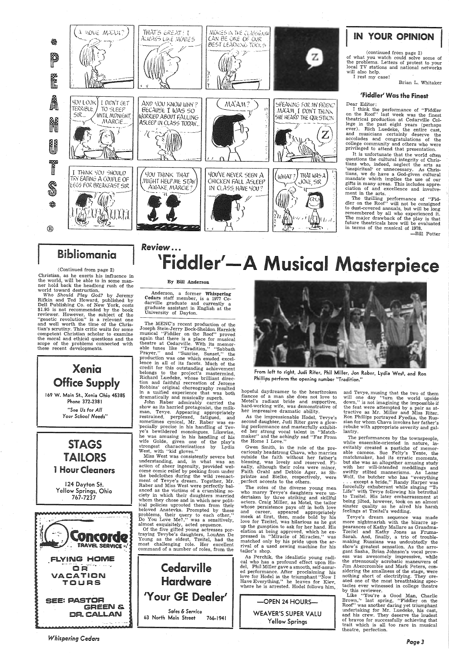

### Bibliomania

#### (Continued from page 2)

Christian, as he exerts his influence in the world, will be able to in some manner hold back the headlong rush of the world toward destruction.

Who Should Play God? by Jeremy<br>Rifkin and Ted Howard, published by Dell Publishing Co. of New York, costs \$1.95 is not recommended by the book reviewer. However, the subject of the<br>"genetic revolution" is a relevant one and well worth the time of the Christian's scrutiny. This critic waits for some competent Christian scholar to examine the moral and ethical questions and the scope of the problems connected with these recent developments.

Xenia **Office Supply** 169 W. Main St., Xenia Ohio 45385 Phone 372-2381 "See Us for All Your School Needs"

**STAGS** TAILORS **1 Hour Cleaners** 

## **Review...** 'Fiddler'-A Musical Masterpiece

#### By Bill Anderson

Anderson, a former Whispering Cedars staff member, is a 1977 Cedarville graduate and currently a graduate assistant in English at the University of Dayton.

The MENC's recent production of the Joseph Stein-Jerry Bock-Sheldon Harnick musical "Fiddler on the Roof" proved again that there is a place for musical theatre at Cedarville. With its memor-<br>able tunes like "Tradition," "Sabbath Prayer," and "Sunrise, Sunset," the production was one which exuded excellence in all of its facets. Much of the credit for this outstanding achievement belongs to the project's mastermind. Richard Luedeke, whose brilliant direction and faithful recreation of Jerome Robbins' original choreography resulted in a unified experience that was both dramatically and musically superb.<br>John Raber admirably carried the

show as its harried protagonist, the milkshow as its narried protagonest, the minimum<br>man, Tevye. Appearing appropriately<br>restrained, perplexed, fatigued, and<br>sometimes cynical, Mr. Raber was especially precise in his handling of Tevye's bewildered monologues. Likewise, he was amusing in his handling of his wife Golde, given one of the play's strongest characterizations by Lydia West, with "kid gloves."

Miss West was consistently severe but understanding, and, in what was an action of sheer ingenuity, provided welcome comic relief by peeking from under the bedclothes during the wild reenactment of Tevye's dream. Together, Mr. Raber and Miss West were perfectly balanced as the victims of a crumbling society in which their daughters married whom they chose and in which new political policies uprooted them from their beloved Anatevka. Prompted by these problems, their query to each other,' Do You Love Me?," was a sensitively, almost exquisitely, acted sequence.



From left to right, Judi Riter, Phil Miller, Jon Raber, Lydia West, and Ron Phillips perform the opening number "Tradition."

hopeful daydreamer to the heartbroken fiancee of a man she does not love to Motel's radiant bride and supportive, hard-working wife, was demonstrative of her impressive dramatic ability.

As the impressionable Hodel, Tevye's second daughter, Judi Riter gave a glowing performance and masterfully exhibited her strong vocal talent in "Matchmaker" and the achingly sad "Far From the Home I Love.'

Gwen Smith, in the role of the precariously headstrong Chava, who marries outside the faith without her father's blessing, was lovely and reserved. Finally, although their roles were minor, Faith Grahl and Debbie Ager, as Shprintze and Bielke, respectively, were<br>perfect accents to the others.

and Tevye, musing that the two of them will one day "turn the world upside down," is not imagining the impossible if the feat were attempted by a pair as attractive as Mr. Miller and Miss Riter. Ron Phillips portrayed Fyedka, the Russian for whom Chava invokes her father's rebuke with appropriate severity and gallantry.

(continued from page 2)

'Fiddler' Was the Finest

Brian L. Whitaker

-Bill Potter

The performances by the townspeople, while ensemble-oriented in nature, inevitably created a pastiche of memorable cameos. Sue Felty's Yente, the matchmaker, had its erratic moments, but she was an altogether amusing study with her will-intended meddlings and with her win-intended inedutings and<br>swiftly stilted mannerisms. As Lazar<br>Wolf, the butcher who has "everything<br>...except a bride," Randy Harper was forcefully exhuberant while singing "To Life" with Tevye following his betrothal to Tzeitel. His later embarrassment at being jilted, however, took on an almost sinster quality as he aired his harsh<br>feelings at Tzeitel's wedding. Tevye's dream sequence was made more nightmarish with the bizarre appearances of Kathy Mallare as Grandma-Tzeitel and Kathy Jones as Fruma-<br>Sarah. And, finally, a trio of troublemaking Russians was undoubtedly the show's greatest sensation. As the arrogant Sasha, Brian Johnson's vocal prowess was awesomely impressive, while the strenuously acrobatic maneuvers of Jim Abercrombie and Mark Peters, considering the smallness of the stage, were nothing short of electrifying. They created one of the most breathtaking spectacles ever witnessed in college theatre by this reviewer. Like "You're a Good Man, Charlie Brown," last spring, "Fiddler on the Roof" was another daring yet triumphant undertaking for Mr. Luedeke, his cast, and his crew. They deserve the loudest of bravos for successfully achieving that trait which is all too rare in musical theatre, perfection.

124 Dayton St. Yellow Springs, Ohio 767-7237



Of the five gifted young actresses portraying Tevybe's daughters, LouAnn De Young as the eldest, Tzeitel, had the most challenging role. Her excellent<br>command of a number of roles, from the

Cedarville

**Hardware** 

'Your GE Dealer'

Sales & Service

766-1941

63 North Main Street

The roles of the diverse young men who marry Tevye's daughters were undertaken by three striking and skillful actors. Craig Miller, as Motel, the tailor whose persistence pays off in both love and career, appeared appropriately meek at first, then, made bold by his love for Tzeitel, was hilarious as he got up the gumption to ask for her hand. His elation at being approved, which he expressed in "Miracle of Miracles," was matched only by his pride upon the arrival of a used sewing machine for his tailor's shop.

As Perchik, the idealistic young radical who has a profound effect upon Hodel, Phil Miller gave a smooth, self-assured performance. After proclaiming his love for Hodel in the triumphant "Now I Have Everything," he leaves for Kiev, where he is arrested. Hodel follows him,

> -OPEN 24 HOURS-WEAVER'S SUPER VALU Yellow Springs

**Whispering Cedars**